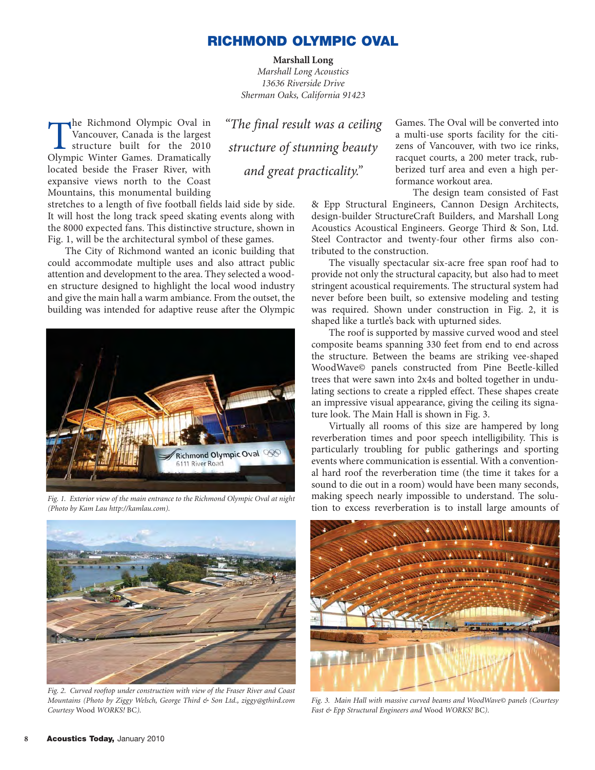## **RICHMOND OLYMPIC OVAL**

**Marshall Long** *Marshall Long Acoustics 13636 Riverside Drive Sherman Oaks, California 91423*

The Richmond Olympic Oval in<br>Vancouver, Canada is the largest<br>structure built for the 2010<br>Olympic Winter Games Dramatically Vancouver, Canada is the largest structure built for the 2010 Olympic Winter Games. Dramatically located beside the Fraser River, with expansive views north to the Coast Mountains, this monumental building *"The final result was a ceiling structure of stunning beauty and great practicality."*

stretches to a length of five football fields laid side by side. It will host the long track speed skating events along with the 8000 expected fans. This distinctive structure, shown in Fig. 1, will be the architectural symbol of these games.

The City of Richmond wanted an iconic building that could accommodate multiple uses and also attract public attention and development to the area. They selected a wooden structure designed to highlight the local wood industry and give the main hall a warm ambiance. From the outset, the building was intended for adaptive reuse after the Olympic



*Fig. 1. Exterior view of the main entrance to the Richmond Olympic Oval at night (Photo by Kam Lau [http://kamlau.com\).](http://kamlau.com)*



*Fig. 2. Curved rooftop under construction with view of the Fraser River and Coast Mountains (Photo by Ziggy Welsch, George Third & Son Ltd., [ziggy@gthird.com](mailto:ziggy@gthird.com) Courtesy* Wood *WORKS!* BC*).*

Games. The Oval will be converted into a multi-use sports facility for the citizens of Vancouver, with two ice rinks, racquet courts, a 200 meter track, rubberized turf area and even a high performance workout area.

The design team consisted of Fast

& Epp Structural Engineers, Cannon Design Architects, design-builder StructureCraft Builders, and Marshall Long Acoustics Acoustical Engineers. George Third & Son, Ltd. Steel Contractor and twenty-four other firms also contributed to the construction.

The visually spectacular six-acre free span roof had to provide not only the structural capacity, but also had to meet stringent acoustical requirements. The structural system had never before been built, so extensive modeling and testing was required. Shown under construction in Fig. 2, it is shaped like a turtle's back with upturned sides.

The roof is supported by massive curved wood and steel composite beams spanning 330 feet from end to end across the structure. Between the beams are striking vee-shaped WoodWave© panels constructed from Pine Beetle-killed trees that were sawn into 2x4s and bolted together in undulating sections to create a rippled effect. These shapes create an impressive visual appearance, giving the ceiling its signature look. The Main Hall is shown in Fig. 3.

Virtually all rooms of this size are hampered by long reverberation times and poor speech intelligibility. This is particularly troubling for public gatherings and sporting events where communication is essential. With a conventional hard roof the reverberation time (the time it takes for a sound to die out in a room) would have been many seconds, making speech nearly impossible to understand. The solution to excess reverberation is to install large amounts of



*Fig. 3. Main Hall with massive curved beams and WoodWave© panels (Courtesy Fast & Epp Structural Engineers and* Wood *WORKS!* BC*).*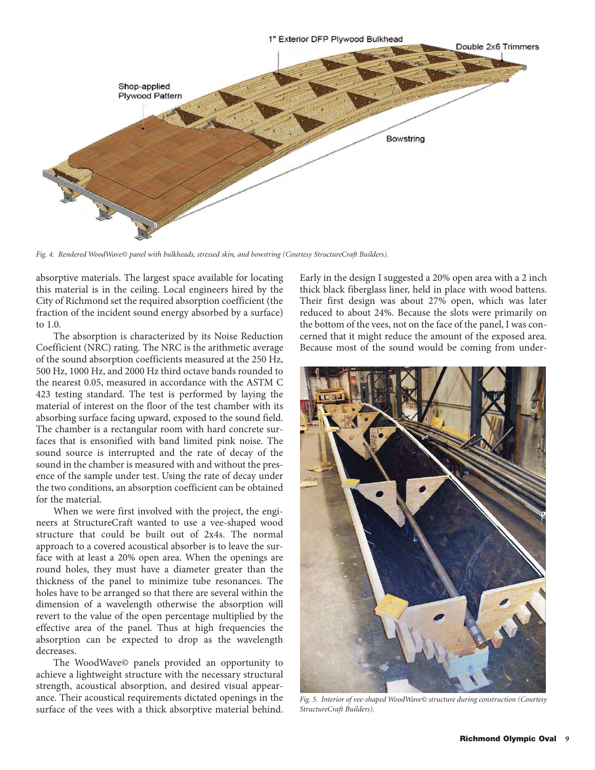

*Fig. 4. Rendered WoodWave© panel with bulkheads, stressed skin, and bowstring (Courtesy StructureCraft Builders).*

absorptive materials. The largest space available for locating this material is in the ceiling. Local engineers hired by the City of Richmond set the required absorption coefficient (the fraction of the incident sound energy absorbed by a surface) to 1.0.

The absorption is characterized by its Noise Reduction Coefficient (NRC) rating. The NRC is the arithmetic average of the sound absorption coefficients measured at the 250 Hz, 500 Hz, 1000 Hz, and 2000 Hz third octave bands rounded to the nearest 0.05, measured in accordance with the ASTM C 423 testing standard. The test is performed by laying the material of interest on the floor of the test chamber with its absorbing surface facing upward, exposed to the sound field. The chamber is a rectangular room with hard concrete surfaces that is ensonified with band limited pink noise. The sound source is interrupted and the rate of decay of the sound in the chamber is measured with and without the presence of the sample under test. Using the rate of decay under the two conditions, an absorption coefficient can be obtained for the material.

When we were first involved with the project, the engineers at StructureCraft wanted to use a vee-shaped wood structure that could be built out of 2x4s. The normal approach to a covered acoustical absorber is to leave the surface with at least a 20% open area. When the openings are round holes, they must have a diameter greater than the thickness of the panel to minimize tube resonances. The holes have to be arranged so that there are several within the dimension of a wavelength otherwise the absorption will revert to the value of the open percentage multiplied by the effective area of the panel. Thus at high frequencies the absorption can be expected to drop as the wavelength decreases.

The WoodWave© panels provided an opportunity to achieve a lightweight structure with the necessary structural strength, acoustical absorption, and desired visual appearance. Their acoustical requirements dictated openings in the surface of the vees with a thick absorptive material behind.

Early in the design I suggested a 20% open area with a 2 inch thick black fiberglass liner, held in place with wood battens. Their first design was about 27% open, which was later reduced to about 24%. Because the slots were primarily on the bottom of the vees, not on the face of the panel, I was concerned that it might reduce the amount of the exposed area. Because most of the sound would be coming from under-



*Fig. 5. Interior of vee-shaped WoodWave© structure during construction (Courtesy StructureCraft Builders).*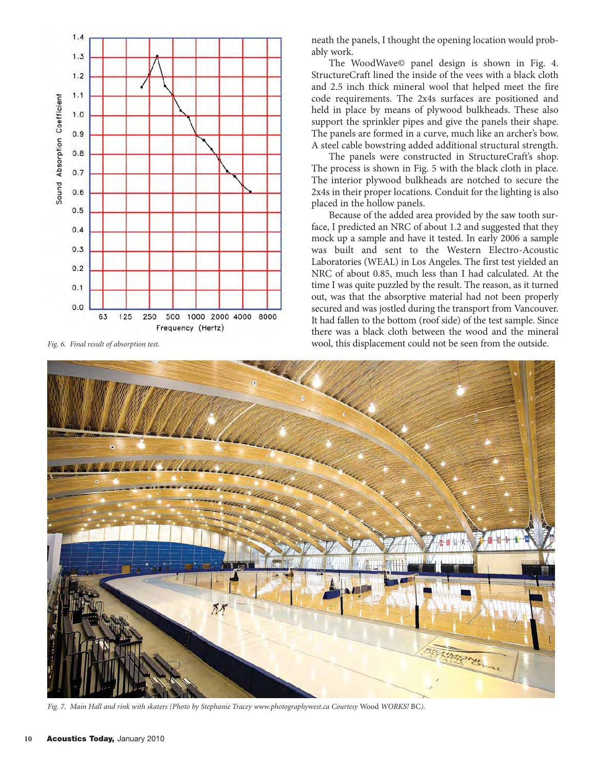

neath the panels, I thought the opening location would probably work.

The WoodWave© panel design is shown in Fig. 4. StructureCraft lined the inside of the vees with a black cloth and 2.5 inch thick mineral wool that helped meet the fire code requirements. The 2x4s surfaces are positioned and held in place by means of plywood bulkheads. These also support the sprinkler pipes and give the panels their shape. The panels are formed in a curve, much like an archer's bow. A steel cable bowstring added additional structural strength.

The panels were constructed in StructureCraft's shop. The process is shown in Fig. 5 with the black cloth in place. The interior plywood bulkheads are notched to secure the 2x4s in their proper locations. Conduit for the lighting is also placed in the hollow panels.

Because of the added area provided by the saw tooth surface, I predicted an NRC of about 1.2 and suggested that they mock up a sample and have it tested. In early 2006 a sample was built and sent to the Western Electro-Acoustic Laboratories (WEAL) in Los Angeles. The first test yielded an NRC of about 0.85, much less than I had calculated. At the time I was quite puzzled by the result. The reason, as it turned out, was that the absorptive material had not been properly secured and was jostled during the transport from Vancouver. It had fallen to the bottom (roof side) of the test sample. Since there was a black cloth between the wood and the mineral *Fig. 6. Final result of absorption test.* wool, this displacement could not be seen from the outside.



*Fig. 7. Main Hall and rink with skaters (Photo by Stephanie Tracey [www.photographywest.ca Co](http://www.photographywest.ca)urtesy* Wood *WORKS!* BC*).*